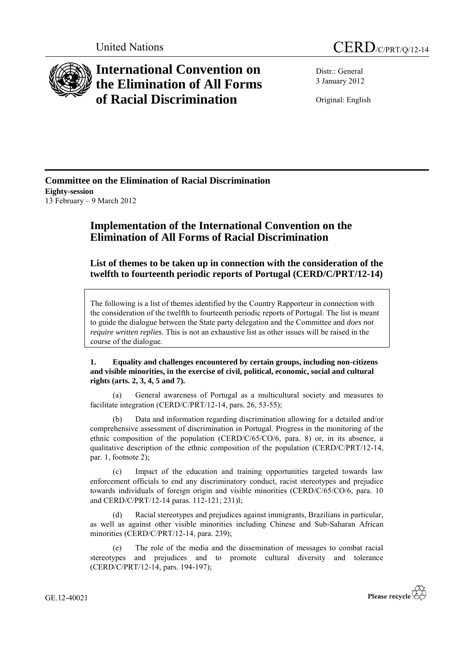

## **International Convention on the Elimination of All Forms of Racial Discrimination**

United Nations CERD/C/PRT/Q/12-14

Distr.: General 3 January 2012

Original: English

**Committee on the Elimination of Racial Discrimination Eighty-session** 13 February – 9 March 2012

## **Implementation of the International Convention on the Elimination of All Forms of Racial Discrimination**

**List of themes to be taken up in connection with the consideration of the twelfth to fourteenth periodic reports of Portugal (CERD/C/PRT/12-14)**

The following is a list of themes identified by the Country Rapporteur in connection with the consideration of the twelfth to fourteenth periodic reports of Portugal. The list is meant to guide the dialogue between the State party delegation and the Committee and *does not require written replies*. This is not an exhaustive list as other issues will be raised in the course of the dialogue.

**1. Equality and challenges encountered by certain groups, including non-citizens and visible minorities, in the exercise of civil, political, economic, social and cultural rights (arts. 2, 3, 4, 5 and 7).** 

(a) General awareness of Portugal as a multicultural society and measures to facilitate integration (CERD/C/PRT/12-14, pars. 26, 53-55);

(b) Data and information regarding discrimination allowing for a detailed and/or comprehensive assessment of discrimination in Portugal. Progress in the monitoring of the ethnic composition of the population (CERD/C/65/CO/6, para. 8) or, in its absence, a qualitative description of the ethnic composition of the population (CERD/C/PRT/12-14, par. 1, footnote 2);

(c) Impact of the education and training opportunities targeted towards law enforcement officials to end any discriminatory conduct, racist stereotypes and prejudice towards individuals of foreign origin and visible minorities (CERD/C/65/CO/6, para. 10 and CERD/C/PRT/12-14 paras. 112-121; 231)l;

(d) Racial stereotypes and prejudices against immigrants, Brazilians in particular, as well as against other visible minorities including Chinese and Sub-Saharan African minorities (CERD/C/PRT/12-14, para. 239);

(e) The role of the media and the dissemination of messages to combat racial stereotypes and prejudices and to promote cultural diversity and tolerance (CERD/C/PRT/12-14, pars. 194-197);

GE.12-40021